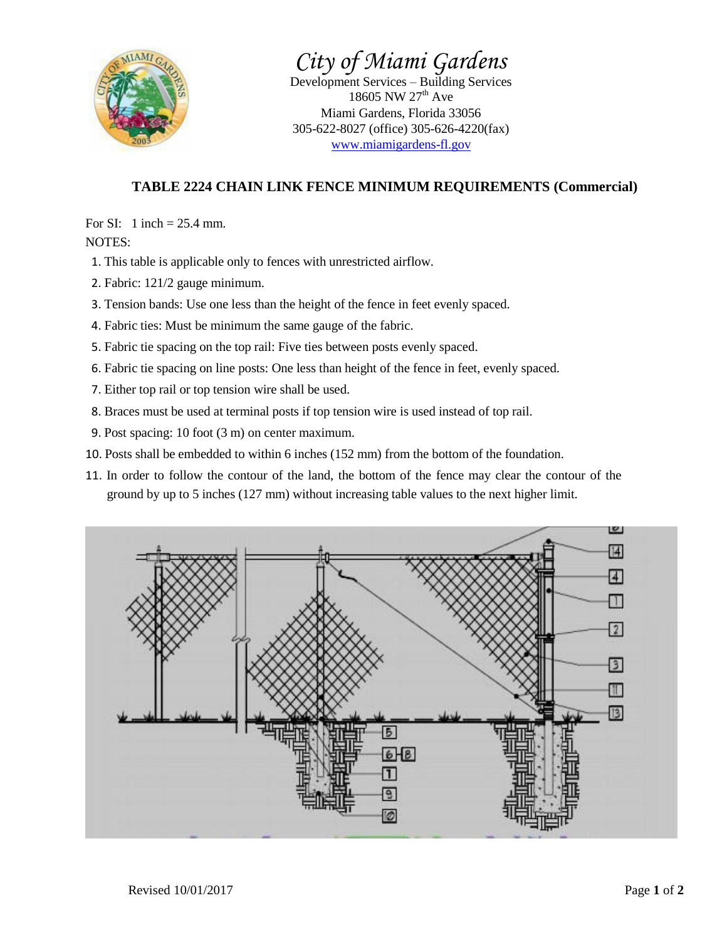

*City of Miami Gardens*

Development Services – Building Services 18605 NW  $27^{th}$  Ave Miami Gardens, Florida 33056 305-622-8027 (office) 305-626-4220(fax) [www.miamigardens-fl.gov](http://www.miamigardens-fl.gov/)

## **TABLE 2224 CHAIN LINK FENCE MINIMUM REQUIREMENTS (Commercial)**

For SI: 1 inch  $= 25.4$  mm. NOTES:

- 1. This table is applicable only to fences with unrestricted airflow.
- 2. Fabric: 121/2 gauge minimum.
- 3. Tension bands: Use one less than the height of the fence in feet evenly spaced.
- 4. Fabric ties: Must be minimum the same gauge of the fabric.
- 5. Fabric tie spacing on the top rail: Five ties between posts evenly spaced.
- 6. Fabric tie spacing on line posts: One less than height of the fence in feet, evenly spaced.
- 7. Either top rail or top tension wire shall be used.
- 8. Braces must be used at terminal posts if top tension wire is used instead of top rail.
- 9. Post spacing: 10 foot (3 m) on center maximum.
- 10. Posts shall be embedded to within 6 inches (152 mm) from the bottom of the foundation.
- 11. In order to follow the contour of the land, the bottom of the fence may clear the contour of the ground by up to 5 inches (127 mm) without increasing table values to the next higher limit.